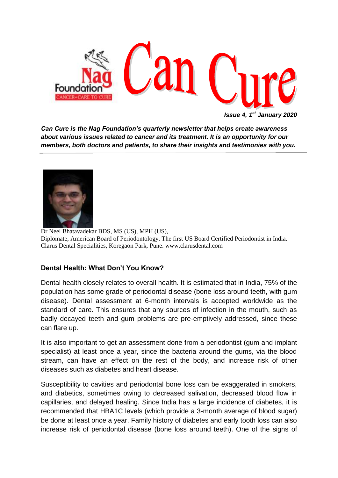

*Can Cure is the Nag Foundation's quarterly newsletter that helps create awareness about various issues related to cancer and its treatment. It is an opportunity for our members, both doctors and patients, to share their insights and testimonies with you.*



Dr Neel Bhatavadekar BDS, MS (US), MPH (US), Diplomate, American Board of Periodontology. The first US Board Certified Periodontist in India. Clarus Dental Specialities, Koregaon Park, Pune. www.clarusdental.com

## **Dental Health: What Don't You Know?**

Dental health closely relates to overall health. It is estimated that in India, 75% of the population has some grade of periodontal disease (bone loss around teeth, with gum disease). Dental assessment at 6-month intervals is accepted worldwide as the standard of care. This ensures that any sources of infection in the mouth, such as badly decayed teeth and gum problems are pre-emptively addressed, since these can flare up.

It is also important to get an assessment done from a periodontist (gum and implant specialist) at least once a year, since the bacteria around the gums, via the blood stream, can have an effect on the rest of the body, and increase risk of other diseases such as diabetes and heart disease.

Susceptibility to cavities and periodontal bone loss can be exaggerated in smokers, and diabetics, sometimes owing to decreased salivation, decreased blood flow in capillaries, and delayed healing. Since India has a large incidence of diabetes, it is recommended that HBA1C levels (which provide a 3-month average of blood sugar) be done at least once a year. Family history of diabetes and early tooth loss can also increase risk of periodontal disease (bone loss around teeth). One of the signs of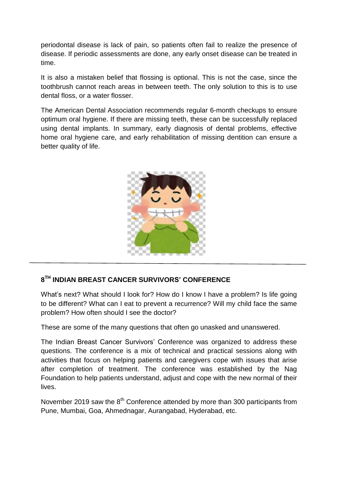periodontal disease is lack of pain, so patients often fail to realize the presence of disease. If periodic assessments are done, any early onset disease can be treated in time.

It is also a mistaken belief that flossing is optional. This is not the case, since the toothbrush cannot reach areas in between teeth. The only solution to this is to use dental floss, or a water flosser.

The American Dental Association recommends regular 6-month checkups to ensure optimum oral hygiene. If there are missing teeth, these can be successfully replaced using dental implants. In summary, early diagnosis of dental problems, effective home oral hygiene care, and early rehabilitation of missing dentition can ensure a better quality of life.



# **8 TH INDIAN BREAST CANCER SURVIVORS' CONFERENCE**

What's next? What should I look for? How do I know I have a problem? Is life going to be different? What can I eat to prevent a recurrence? Will my child face the same problem? How often should I see the doctor?

These are some of the many questions that often go unasked and unanswered.

The Indian Breast Cancer Survivors' Conference was organized to address these questions. The conference is a mix of technical and practical sessions along with activities that focus on helping patients and caregivers cope with issues that arise after completion of treatment. The conference was established by the Nag Foundation to help patients understand, adjust and cope with the new normal of their lives.

November 2019 saw the  $8<sup>th</sup>$  Conference attended by more than 300 participants from Pune, Mumbai, Goa, Ahmednagar, Aurangabad, Hyderabad, etc.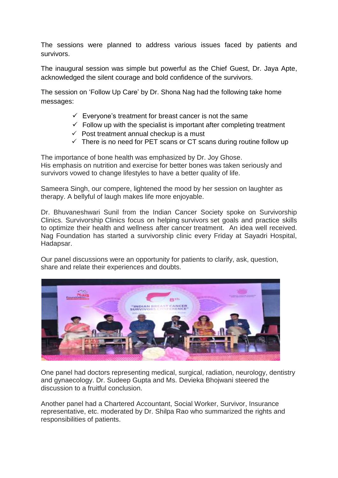The sessions were planned to address various issues faced by patients and survivors.

The inaugural session was simple but powerful as the Chief Guest, Dr. Jaya Apte, acknowledged the silent courage and bold confidence of the survivors.

The session on 'Follow Up Care' by Dr. Shona Nag had the following take home messages:

- $\checkmark$  Everyone's treatment for breast cancer is not the same
- $\checkmark$  Follow up with the specialist is important after completing treatment
- $\checkmark$  Post treatment annual checkup is a must
- $\checkmark$  There is no need for PET scans or CT scans during routine follow up

The importance of bone health was emphasized by Dr. Joy Ghose. His emphasis on nutrition and exercise for better bones was taken seriously and survivors vowed to change lifestyles to have a better quality of life.

Sameera Singh, our compere, lightened the mood by her session on laughter as therapy. A bellyful of laugh makes life more enjoyable.

Dr. Bhuvaneshwari Sunil from the Indian Cancer Society spoke on Survivorship Clinics. Survivorship Clinics focus on helping survivors set goals and practice skills to optimize their health and wellness after cancer treatment. An idea well received. Nag Foundation has started a survivorship clinic every Friday at Sayadri Hospital, Hadapsar.

Our panel discussions were an opportunity for patients to clarify, ask, question, share and relate their experiences and doubts.



One panel had doctors representing medical, surgical, radiation, neurology, dentistry and gynaecology. Dr. Sudeep Gupta and Ms. Devieka Bhojwani steered the discussion to a fruitful conclusion.

Another panel had a Chartered Accountant, Social Worker, Survivor, Insurance representative, etc. moderated by Dr. Shilpa Rao who summarized the rights and responsibilities of patients.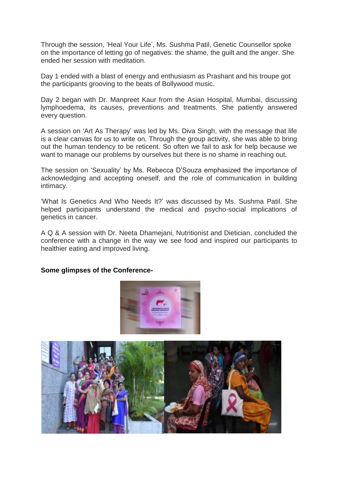Through the session, 'Heal Your Life', Ms. Sushma Patil, Genetic Counsellor spoke on the importance of letting go of negatives: the shame, the guilt and the anger. She ended her session with meditation.

Day 1 ended with a blast of energy and enthusiasm as Prashant and his troupe got the participants grooving to the beats of Bollywood music.

Day 2 began with Dr. Manpreet Kaur from the Asian Hospital, Mumbai, discussing lymphoedema, its causes, preventions and treatments. She patiently answered every question.

A session on 'Art As Therapy' was led by Ms. Diva Singh, with the message that life is a clear canvas for us to write on. Through the group activity, she was able to bring out the human tendency to be reticent. So often we fail to ask for help because we want to manage our problems by ourselves but there is no shame in reaching out.

The session on 'Sexuality' by Ms. Rebecca D'Souza emphasized the importance of acknowledging and accepting oneself, and the role of communication in building intimacy.

'What Is Genetics And Who Needs It?' was discussed by Ms. Sushma Patil. She helped participants understand the medical and psycho-social implications of genetics in cancer.

A Q & A session with Dr. Neeta Dhamejani, Nutritionist and Dietician, concluded the conference with a change in the way we see food and inspired our participants to healthier eating and improved living.

#### **Some glimpses of the Conference-**



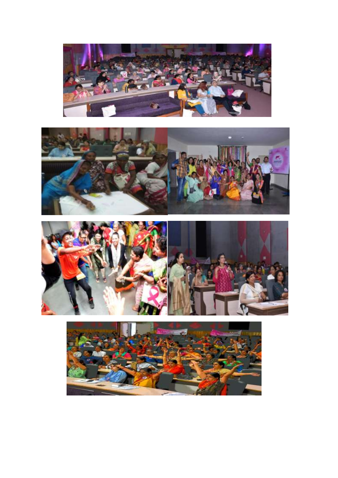





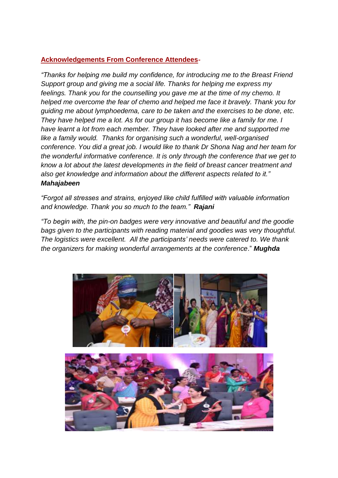# **Acknowledgements From Conference Attendees***-*

*"Thanks for helping me build my confidence, for introducing me to the Breast Friend Support group and giving me a social life. Thanks for helping me express my feelings. Thank you for the counselling you gave me at the time of my chemo. It helped me overcome the fear of chemo and helped me face it bravely. Thank you for guiding me about lymphoedema, care to be taken and the exercises to be done, etc. They have helped me a lot. As for our group it has become like a family for me. I have learnt a lot from each member. They have looked after me and supported me like a family would. Thanks for organising such a wonderful, well-organised conference. You did a great job. I would like to thank Dr Shona Nag and her team for the wonderful informative conference. It is only through the conference that we get to know a lot about the latest developments in the field of breast cancer treatment and also get knowledge and information about the different aspects related to it." Mahajabeen*

*"Forgot all stresses and strains, enjoyed like child fulfilled with valuable information and knowledge. Thank you so much to the team." Rajani* 

*"To begin with, the pin-on badges were very innovative and beautiful and the goodie bags given to the participants with reading material and goodies was very thoughtful. The logistics were excellent. All the participants' needs were catered to. We thank the organizers for making wonderful arrangements at the conference*." *Mughda*

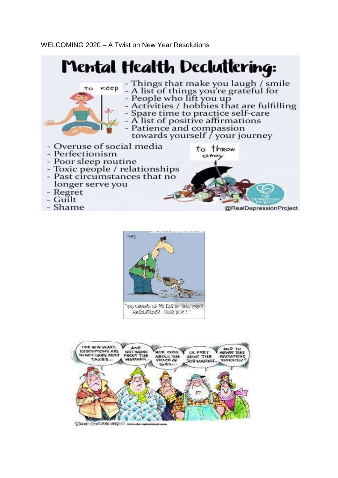WELCOMING 2020 – A Twist on New Year Resolutions





YOU CHEWED UP MY LIST OF NEW YEAR'S REDUTIONS! GOOD BOY!



**DAVE GRANLIND®**